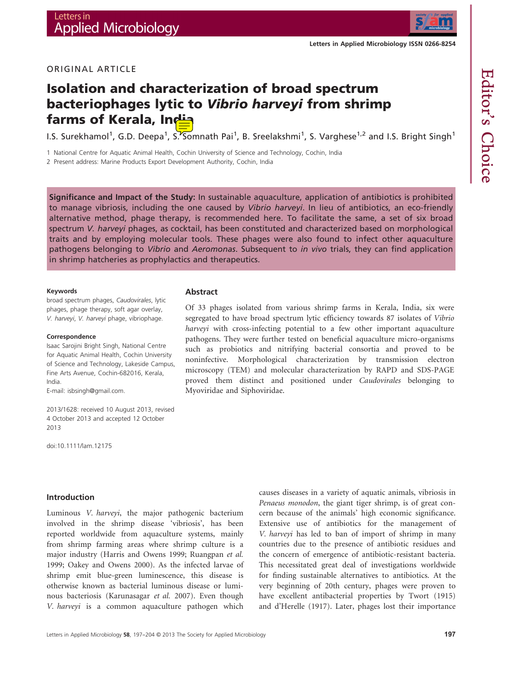

# Editor's Choice

ORIGINAL ARTICLE

# Isolation and characterization of broad spectrum bacteriophages lytic to Vibrio harveyi from shrimp farms of Kerala, India

I.S. Surekhamol<sup>1</sup>, G.D. Deepa<sup>1</sup>, S. Somnath Pai<sup>1</sup>, B. Sreelakshmi<sup>1</sup>, S. Varghese<sup>1,2</sup> and I.S. Bright Singh<sup>1</sup>

1 National Centre for Aquatic Animal Health, Cochin University of Science and Technology, Cochin, India

**Abstract** 

2 Present address: Marine Products Export Development Authority, Cochin, India

Significance and Impact of the Study: In sustainable aquaculture, application of antibiotics is prohibited to manage vibriosis, including the one caused by Vibrio harveyi. In lieu of antibiotics, an eco-friendly alternative method, phage therapy, is recommended here. To facilitate the same, a set of six broad spectrum V. harveyi phages, as cocktail, has been constituted and characterized based on morphological traits and by employing molecular tools. These phages were also found to infect other aquaculture pathogens belonging to Vibrio and Aeromonas. Subsequent to in vivo trials, they can find application in shrimp hatcheries as prophylactics and therapeutics.

#### Keywords

broad spectrum phages, Caudovirales, lytic phages, phage therapy, soft agar overlay, V. harveyi, V. harveyi phage, vibriophage.

#### Correspondence

Isaac Sarojini Bright Singh, National Centre for Aquatic Animal Health, Cochin University of Science and Technology, Lakeside Campus, Fine Arts Avenue, Cochin-682016, Kerala, India.

E-mail: isbsingh@gmail.com.

2013/1628: received 10 August 2013, revised 4 October 2013 and accepted 12 October 2013

doi:10.1111/lam.12175

# Introduction

Luminous V. harveyi, the major pathogenic bacterium involved in the shrimp disease 'vibriosis', has been reported worldwide from aquaculture systems, mainly from shrimp farming areas where shrimp culture is a major industry (Harris and Owens 1999; Ruangpan et al. 1999; Oakey and Owens 2000). As the infected larvae of shrimp emit blue-green luminescence, this disease is otherwise known as bacterial luminous disease or luminous bacteriosis (Karunasagar et al. 2007). Even though V. harveyi is a common aquaculture pathogen which

Of 33 phages isolated from various shrimp farms in Kerala, India, six were segregated to have broad spectrum lytic efficiency towards 87 isolates of *Vibrio* harveyi with cross-infecting potential to a few other important aquaculture pathogens. They were further tested on beneficial aquaculture micro-organisms such as probiotics and nitrifying bacterial consortia and proved to be noninfective. Morphological characterization by transmission electron microscopy (TEM) and molecular characterization by RAPD and SDS-PAGE proved them distinct and positioned under Caudovirales belonging to Myoviridae and Siphoviridae.

> causes diseases in a variety of aquatic animals, vibriosis in Penaeus monodon, the giant tiger shrimp, is of great concern because of the animals' high economic significance. Extensive use of antibiotics for the management of V. harveyi has led to ban of import of shrimp in many countries due to the presence of antibiotic residues and the concern of emergence of antibiotic-resistant bacteria. This necessitated great deal of investigations worldwide for finding sustainable alternatives to antibiotics. At the very beginning of 20th century, phages were proven to have excellent antibacterial properties by Twort (1915) and d'Herelle (1917). Later, phages lost their importance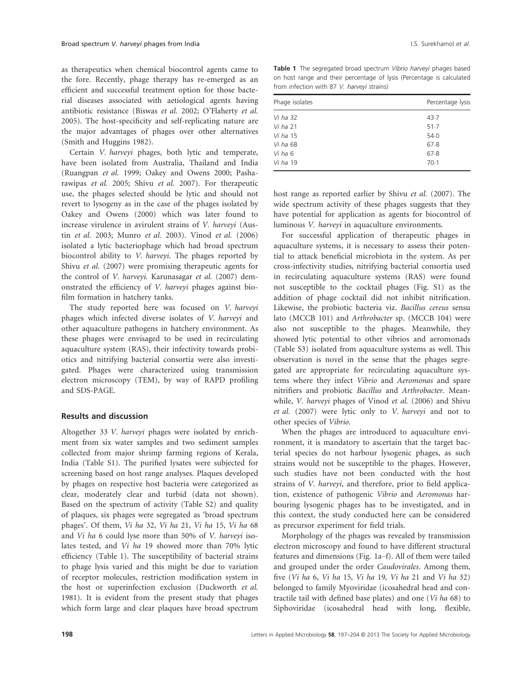as therapeutics when chemical biocontrol agents came to the fore. Recently, phage therapy has re-emerged as an efficient and successful treatment option for those bacterial diseases associated with aetiological agents having antibiotic resistance (Biswas et al. 2002; O'Flaherty et al. 2005). The host-specificity and self-replicating nature are the major advantages of phages over other alternatives (Smith and Huggins 1982).

Certain V. harveyi phages, both lytic and temperate, have been isolated from Australia, Thailand and India (Ruangpan et al. 1999; Oakey and Owens 2000; Pasharawipas et al. 2005; Shivu et al. 2007). For therapeutic use, the phages selected should be lytic and should not revert to lysogeny as in the case of the phages isolated by Oakey and Owens (2000) which was later found to increase virulence in avirulent strains of V. harveyi (Austin et al. 2003; Munro et al. 2003). Vinod et al. (2006) isolated a lytic bacteriophage which had broad spectrum biocontrol ability to V. harveyi. The phages reported by Shivu et al. (2007) were promising therapeutic agents for the control of V. harveyi. Karunasagar et al. (2007) demonstrated the efficiency of V. harveyi phages against biofilm formation in hatchery tanks.

The study reported here was focused on V. harveyi phages which infected diverse isolates of V. harveyi and other aquaculture pathogens in hatchery environment. As these phages were envisaged to be used in recirculating aquaculture system (RAS), their infectivity towards probiotics and nitrifying bacterial consortia were also investigated. Phages were characterized using transmission electron microscopy (TEM), by way of RAPD profiling and SDS-PAGE.

# Results and discussion

Altogether 33 V. harveyi phages were isolated by enrichment from six water samples and two sediment samples collected from major shrimp farming regions of Kerala, India (Table S1). The purified lysates were subjected for screening based on host range analyses. Plaques developed by phages on respective host bacteria were categorized as clear, moderately clear and turbid (data not shown). Based on the spectrum of activity (Table S2) and quality of plaques, six phages were segregated as 'broad spectrum phages'. Of them, Vi ha 32, Vi ha 21, Vi ha 15, Vi ha 68 and Vi ha 6 could lyse more than 50% of V. harveyi isolates tested, and Vi ha 19 showed more than 70% lytic efficiency (Table 1). The susceptibility of bacterial strains to phage lysis varied and this might be due to variation of receptor molecules, restriction modification system in the host or superinfection exclusion (Duckworth et al. 1981). It is evident from the present study that phages which form large and clear plaques have broad spectrum

Table 1 The segregated broad spectrum Vibrio harveyi phages based on host range and their percentage of lysis (Percentage is calculated from infection with 87 V. harveyi strains)

| Phage isolates  | Percentage lysis |  |  |
|-----------------|------------------|--|--|
| Vi ha 32        | 43.7             |  |  |
| Vi ha $21$      | 51.7             |  |  |
| Vi ha 15        | 54.0             |  |  |
| <i>Vi ha</i> 68 | 67.8             |  |  |
| Vi ha 6         | 67.8             |  |  |
| <i>Vi ha</i> 19 | $70-1$           |  |  |
|                 |                  |  |  |

host range as reported earlier by Shivu et al. (2007). The wide spectrum activity of these phages suggests that they have potential for application as agents for biocontrol of luminous V. harveyi in aquaculture environments.

For successful application of therapeutic phages in aquaculture systems, it is necessary to assess their potential to attack beneficial microbiota in the system. As per cross-infectivity studies, nitrifying bacterial consortia used in recirculating aquaculture systems (RAS) were found not susceptible to the cocktail phages (Fig. S1) as the addition of phage cocktail did not inhibit nitrification. Likewise, the probiotic bacteria viz. Bacillus cereus sensu lato (MCCB 101) and Arthrobacter sp. (MCCB 104) were also not susceptible to the phages. Meanwhile, they showed lytic potential to other vibrios and aeromonads (Table S3) isolated from aquaculture systems as well. This observation is novel in the sense that the phages segregated are appropriate for recirculating aquaculture systems where they infect Vibrio and Aeromonas and spare nitrifiers and probiotic Bacillus and Arthrobacter. Meanwhile, V. harveyi phages of Vinod et al. (2006) and Shivu et al. (2007) were lytic only to V. harveyi and not to other species of Vibrio.

When the phages are introduced to aquaculture environment, it is mandatory to ascertain that the target bacterial species do not harbour lysogenic phages, as such strains would not be susceptible to the phages. However, such studies have not been conducted with the host strains of V. harveyi, and therefore, prior to field application, existence of pathogenic Vibrio and Aeromonas harbouring lysogenic phages has to be investigated, and in this context, the study conducted here can be considered as precursor experiment for field trials.

Morphology of the phages was revealed by transmission electron microscopy and found to have different structural features and dimensions (Fig. 1a–f). All of them were tailed and grouped under the order Caudovirales. Among them, five (Vi ha 6, Vi ha 15, Vi ha 19, Vi ha 21 and Vi ha 32) belonged to family Myoviridae (icosahedral head and contractile tail with defined base plates) and one (Vi ha 68) to Siphoviridae (icosahedral head with long, flexible,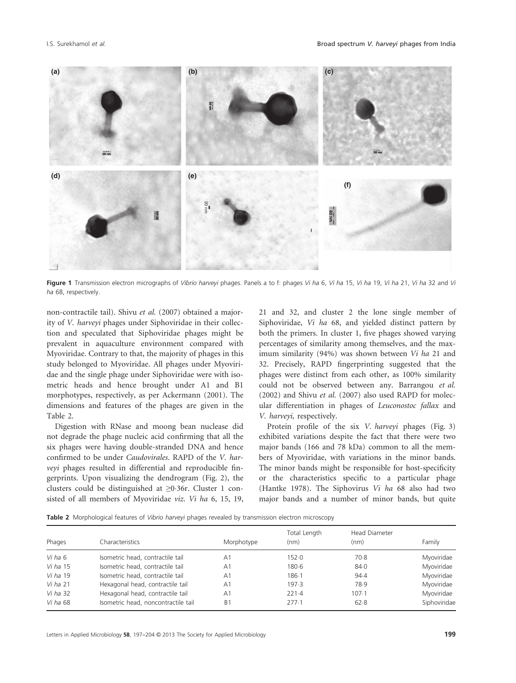

Figure 1 Transmission electron micrographs of Vibrio harveyi phages. Panels a to f: phages Vi ha 6, Vi ha 15, Vi ha 19, Vi ha 21, Vi ha 32 and Vi ha 68, respectively.

Table 2 Morphological features of Vibrio harveyi phages revealed by transmission electron microscopy

|                                                                | $\frac{3}{2}$                                                                                                                                                                                                                                                                                                                                                                                                                                                                                                                                                                                                                                                                                                                                                                                                                                                                                                                                                                                                                                                                                                                                                                                                |                            | $\frac{1}{50}$ mm                                                                                                                                                                                                                                                                                                                                                                                                                                                                                                                                                                                                                                                                                                                                                                                                                                                                                                                                                                                                                                                                                           |                                         |                                                                    |
|----------------------------------------------------------------|--------------------------------------------------------------------------------------------------------------------------------------------------------------------------------------------------------------------------------------------------------------------------------------------------------------------------------------------------------------------------------------------------------------------------------------------------------------------------------------------------------------------------------------------------------------------------------------------------------------------------------------------------------------------------------------------------------------------------------------------------------------------------------------------------------------------------------------------------------------------------------------------------------------------------------------------------------------------------------------------------------------------------------------------------------------------------------------------------------------------------------------------------------------------------------------------------------------|----------------------------|-------------------------------------------------------------------------------------------------------------------------------------------------------------------------------------------------------------------------------------------------------------------------------------------------------------------------------------------------------------------------------------------------------------------------------------------------------------------------------------------------------------------------------------------------------------------------------------------------------------------------------------------------------------------------------------------------------------------------------------------------------------------------------------------------------------------------------------------------------------------------------------------------------------------------------------------------------------------------------------------------------------------------------------------------------------------------------------------------------------|-----------------------------------------|--------------------------------------------------------------------|
|                                                                |                                                                                                                                                                                                                                                                                                                                                                                                                                                                                                                                                                                                                                                                                                                                                                                                                                                                                                                                                                                                                                                                                                                                                                                                              |                            |                                                                                                                                                                                                                                                                                                                                                                                                                                                                                                                                                                                                                                                                                                                                                                                                                                                                                                                                                                                                                                                                                                             |                                         |                                                                    |
| ha 68, respectively.                                           | Figure 1 Transmission electron micrographs of Vibrio harveyi phages. Panels a to f: phages Vi ha 6, Vi ha 15, Vi ha 19, Vi ha 21, Vi ha 32 and Vi                                                                                                                                                                                                                                                                                                                                                                                                                                                                                                                                                                                                                                                                                                                                                                                                                                                                                                                                                                                                                                                            |                            |                                                                                                                                                                                                                                                                                                                                                                                                                                                                                                                                                                                                                                                                                                                                                                                                                                                                                                                                                                                                                                                                                                             |                                         |                                                                    |
| Table 2.                                                       | non-contractile tail). Shivu et al. (2007) obtained a major-<br>ity of V. harveyi phages under Siphoviridae in their collec-<br>tion and speculated that Siphoviridae phages might be<br>prevalent in aquaculture environment compared with<br>Myoviridae. Contrary to that, the majority of phages in this<br>study belonged to Myoviridae. All phages under Myoviri-<br>dae and the single phage under Siphoviridae were with iso-<br>metric heads and hence brought under A1 and B1<br>morphotypes, respectively, as per Ackermann (2001). The<br>dimensions and features of the phages are given in the<br>Digestion with RNase and moong bean nuclease did<br>not degrade the phage nucleic acid confirming that all the<br>six phages were having double-stranded DNA and hence<br>confirmed to be under Caudovirales. RAPD of the V. har-<br>veyi phages resulted in differential and reproducible fin-<br>gerprints. Upon visualizing the dendrogram (Fig. 2), the<br>clusters could be distinguished at ≥0.36r. Cluster 1 con-<br>sisted of all members of Myoviridae viz. Vi ha 6, 15, 19,<br>Table 2 Morphological features of Vibrio harveyi phages revealed by transmission electron microscopy |                            | 21 and 32, and cluster 2 the lone single member of<br>Siphoviridae, Vi ha 68, and yielded distinct pattern by<br>both the primers. In cluster 1, five phages showed varying<br>percentages of similarity among themselves, and the max-<br>imum similarity (94%) was shown between Vi ha 21 and<br>32. Precisely, RAPD fingerprinting suggested that the<br>phages were distinct from each other, as 100% similarity<br>could not be observed between any. Barrangou et al.<br>(2002) and Shivu et al. (2007) also used RAPD for molec-<br>ular differentiation in phages of Leuconostoc fallax and<br>V. harveyi, respectively.<br>Protein profile of the six V. harveyi phages (Fig. 3)<br>exhibited variations despite the fact that there were two<br>major bands (166 and 78 kDa) common to all the mem-<br>bers of Myoviridae, with variations in the minor bands.<br>The minor bands might be responsible for host-specificity<br>or the characteristics specific to a particular phage<br>(Hantke 1978). The Siphovirus Vi ha 68 also had two<br>major bands and a number of minor bands, but quite |                                         |                                                                    |
| Phages                                                         | Characteristics                                                                                                                                                                                                                                                                                                                                                                                                                                                                                                                                                                                                                                                                                                                                                                                                                                                                                                                                                                                                                                                                                                                                                                                              | Morphotype                 | Total Length<br>(nm)                                                                                                                                                                                                                                                                                                                                                                                                                                                                                                                                                                                                                                                                                                                                                                                                                                                                                                                                                                                                                                                                                        | <b>Head Diameter</b><br>(nm)            | Family                                                             |
| Vi ha 6<br>Vi ha 15<br>Vi ha 19<br><i>Vi ha</i> 21<br>Vi ha 32 | Isometric head, contractile tail<br>Isometric head, contractile tail<br>Isometric head, contractile tail<br>Hexagonal head, contractile tail<br>Hexagonal head, contractile tail                                                                                                                                                                                                                                                                                                                                                                                                                                                                                                                                                                                                                                                                                                                                                                                                                                                                                                                                                                                                                             | A1<br>A1<br>A1<br>A1<br>A1 | 152.0<br>$180 - 6$<br>$186 - 1$<br>197.3<br>221.4                                                                                                                                                                                                                                                                                                                                                                                                                                                                                                                                                                                                                                                                                                                                                                                                                                                                                                                                                                                                                                                           | $70-8$<br>84.0<br>94.4<br>78.9<br>107.1 | Myoviridae<br>Myoviridae<br>Myoviridae<br>Myoviridae<br>Myoviridae |
| Vi ha 68                                                       | Isometric head, noncontractile tail                                                                                                                                                                                                                                                                                                                                                                                                                                                                                                                                                                                                                                                                                                                                                                                                                                                                                                                                                                                                                                                                                                                                                                          | B <sub>1</sub>             | 277.1                                                                                                                                                                                                                                                                                                                                                                                                                                                                                                                                                                                                                                                                                                                                                                                                                                                                                                                                                                                                                                                                                                       | 62.8                                    | Siphoviridae                                                       |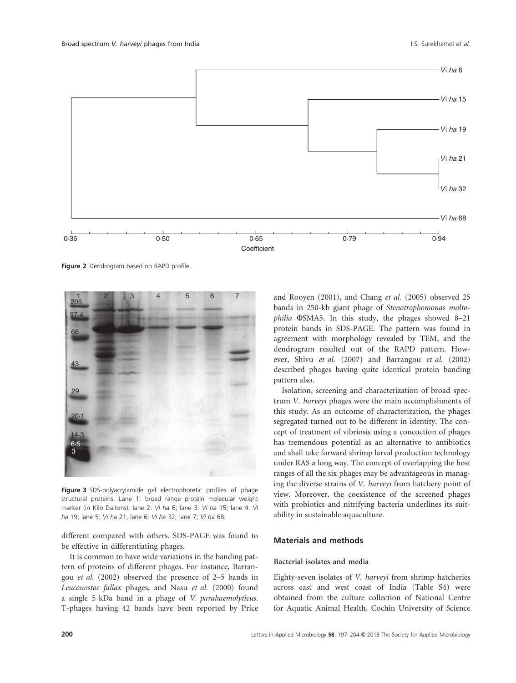

Figure 2 Dendrogram based on RAPD profile.



Figure 3 SDS-polyacrylamide gel electrophoretic profiles of phage structural proteins. Lane 1: broad range protein molecular weight marker (in Kilo Daltons); lane 2: Vi ha 6; lane 3: Vi ha 15; lane 4: Vi ha 19; lane 5: Vi ha 21; lane 6: Vi ha 32; lane 7; Vi ha 68.

different compared with others. SDS-PAGE was found to be effective in differentiating phages.

It is common to have wide variations in the banding pattern of proteins of different phages. For instance, Barrangou et al. (2002) observed the presence of 2–5 bands in Leuconostoc fallax phages, and Nasu et al. (2000) found a single 5 kDa band in a phage of V. parahaemolyticus. T-phages having 42 bands have been reported by Price

and Rooyen (2001), and Chang et al. (2005) observed 25 bands in 250-kb giant phage of Stenotrophomonas maltophilia  $\Phi$ SMA5. In this study, the phages showed 8–21 protein bands in SDS-PAGE. The pattern was found in agreement with morphology revealed by TEM, and the dendrogram resulted out of the RAPD pattern. However, Shivu et al. (2007) and Barrangou et al. (2002) described phages having quite identical protein banding pattern also.

Isolation, screening and characterization of broad spectrum V. harveyi phages were the main accomplishments of this study. As an outcome of characterization, the phages segregated turned out to be different in identity. The concept of treatment of vibriosis using a concoction of phages has tremendous potential as an alternative to antibiotics and shall take forward shrimp larval production technology under RAS a long way. The concept of overlapping the host ranges of all the six phages may be advantageous in managing the diverse strains of V. harveyi from hatchery point of view. Moreover, the coexistence of the screened phages with probiotics and nitrifying bacteria underlines its suitability in sustainable aquaculture.

# Materials and methods

#### Bacterial isolates and media

Eighty-seven isolates of V. harveyi from shrimp hatcheries across east and west coast of India (Table S4) were obtained from the culture collection of National Centre for Aquatic Animal Health, Cochin University of Science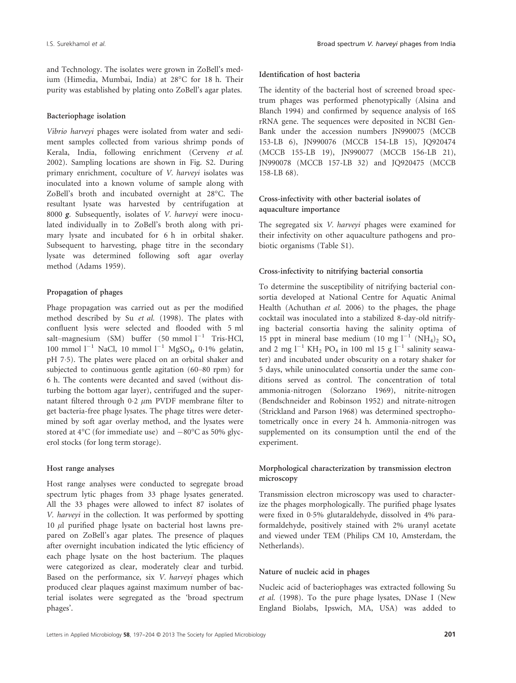and Technology. The isolates were grown in ZoBell's medium (Himedia, Mumbai, India) at 28°C for 18 h. Their purity was established by plating onto ZoBell's agar plates.

#### Bacteriophage isolation

Vibrio harveyi phages were isolated from water and sediment samples collected from various shrimp ponds of Kerala, India, following enrichment (Cerveny et al. 2002). Sampling locations are shown in Fig. S2. During primary enrichment, coculture of V. harveyi isolates was inoculated into a known volume of sample along with ZoBell's broth and incubated overnight at 28°C. The resultant lysate was harvested by centrifugation at <sup>8000</sup> g. Subsequently, isolates of V. harveyi were inoculated individually in to ZoBell's broth along with primary lysate and incubated for 6 h in orbital shaker. Subsequent to harvesting, phage titre in the secondary lysate was determined following soft agar overlay method (Adams 1959).

# Propagation of phages

Phage propagation was carried out as per the modified method described by Su et al. (1998). The plates with confluent lysis were selected and flooded with 5 ml salt–magnesium (SM) buffer (50 mmol  $l^{-1}$  Tris-HCl, 100 mmol  $l^{-1}$  NaCl, 10 mmol  $l^{-1}$  MgSO<sub>4</sub>, 0.1% gelatin, pH 75). The plates were placed on an orbital shaker and subjected to continuous gentle agitation (60–80 rpm) for 6 h. The contents were decanted and saved (without disturbing the bottom agar layer), centrifuged and the supernatant filtered through  $0.2 \mu m$  PVDF membrane filter to get bacteria-free phage lysates. The phage titres were determined by soft agar overlay method, and the lysates were stored at  $4^{\circ}$ C (for immediate use) and  $-80^{\circ}$ C as 50% glycerol stocks (for long term storage).

#### Host range analyses

Host range analyses were conducted to segregate broad spectrum lytic phages from 33 phage lysates generated. All the 33 phages were allowed to infect 87 isolates of V. harveyi in the collection. It was performed by spotting  $10 \mu l$  purified phage lysate on bacterial host lawns prepared on ZoBell's agar plates. The presence of plaques after overnight incubation indicated the lytic efficiency of each phage lysate on the host bacterium. The plaques were categorized as clear, moderately clear and turbid. Based on the performance, six V. harveyi phages which produced clear plaques against maximum number of bacterial isolates were segregated as the 'broad spectrum phages'.

# Identification of host bacteria

The identity of the bacterial host of screened broad spectrum phages was performed phenotypically (Alsina and Blanch 1994) and confirmed by sequence analysis of 16S rRNA gene. The sequences were deposited in NCBI Gen-Bank under the accession numbers JN990075 (MCCB 153-LB 6), JN990076 (MCCB 154-LB 15), JQ920474 (MCCB 155-LB 19), JN990077 (MCCB 156-LB 21), JN990078 (MCCB 157-LB 32) and JQ920475 (MCCB 158-LB 68).

# Cross-infectivity with other bacterial isolates of aquaculture importance

The segregated six V. harveyi phages were examined for their infectivity on other aquaculture pathogens and probiotic organisms (Table S1).

## Cross-infectivity to nitrifying bacterial consortia

To determine the susceptibility of nitrifying bacterial consortia developed at National Centre for Aquatic Animal Health (Achuthan et al. 2006) to the phages, the phage cocktail was inoculated into a stabilized 8-day-old nitrifying bacterial consortia having the salinity optima of 15 ppt in mineral base medium (10 mg  $l^{-1}$  (NH<sub>4</sub>)<sub>2</sub> SO<sub>4</sub> and 2 mg  $l^{-1}$  KH<sub>2</sub> PO<sub>4</sub> in 100 ml 15 g  $l^{-1}$  salinity seawater) and incubated under obscurity on a rotary shaker for 5 days, while uninoculated consortia under the same conditions served as control. The concentration of total ammonia-nitrogen (Solorzano 1969), nitrite-nitrogen (Bendschneider and Robinson 1952) and nitrate-nitrogen (Strickland and Parson 1968) was determined spectrophotometrically once in every 24 h. Ammonia-nitrogen was supplemented on its consumption until the end of the experiment.

# Morphological characterization by transmission electron microscopy

Transmission electron microscopy was used to characterize the phages morphologically. The purified phage lysates were fixed in 05% glutaraldehyde, dissolved in 4% paraformaldehyde, positively stained with 2% uranyl acetate and viewed under TEM (Philips CM 10, Amsterdam, the Netherlands).

# Nature of nucleic acid in phages

Nucleic acid of bacteriophages was extracted following Su et al. (1998). To the pure phage lysates, DNase I (New England Biolabs, Ipswich, MA, USA) was added to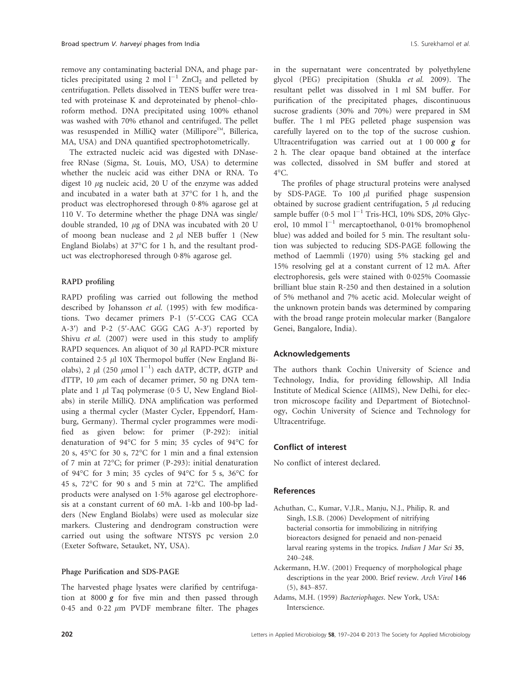remove any contaminating bacterial DNA, and phage particles precipitated using 2 mol  $I^{-1}$  ZnCl<sub>2</sub> and pelleted by centrifugation. Pellets dissolved in TENS buffer were treated with proteinase K and deproteinated by phenol–chloroform method. DNA precipitated using 100% ethanol was washed with 70% ethanol and centrifuged. The pellet was resuspended in MilliQ water (Millipore™, Billerica, MA, USA) and DNA quantified spectrophotometrically.

The extracted nucleic acid was digested with DNasefree RNase (Sigma, St. Louis, MO, USA) to determine whether the nucleic acid was either DNA or RNA. To digest 10  $\mu$ g nucleic acid, 20 U of the enzyme was added and incubated in a water bath at 37°C for 1 h, and the product was electrophoresed through 08% agarose gel at 110 V. To determine whether the phage DNA was single/ double stranded, 10  $\mu$ g of DNA was incubated with 20 U of moong bean nuclease and  $2 \mu$ l NEB buffer 1 (New England Biolabs) at 37°C for 1 h, and the resultant product was electrophoresed through 08% agarose gel.

## RAPD profiling

RAPD profiling was carried out following the method described by Johansson et al. (1995) with few modifications. Two decamer primers P-1 (5′-CCG CAG CCA A-3′) and P-2 (5′-AAC GGG CAG A-3′) reported by Shivu et al. (2007) were used in this study to amplify RAPD sequences. An aliquot of 30  $\mu$ l RAPD-PCR mixture contained  $2.5 \mu$ l 10X Thermopol buffer (New England Biolabs), 2  $\mu$ l (250  $\mu$ mol l<sup>-1</sup>) each dATP, dCTP, dGTP and dTTP, 10  $\mu$ m each of decamer primer, 50 ng DNA template and 1  $\mu$ l Taq polymerase (0.5 U, New England Biolabs) in sterile MilliQ. DNA amplification was performed using a thermal cycler (Master Cycler, Eppendorf, Hamburg, Germany). Thermal cycler programmes were modified as given below: for primer (P-292): initial denaturation of 94°C for 5 min; 35 cycles of 94°C for 20 s, 45°C for 30 s, 72°C for 1 min and a final extension of 7 min at 72°C; for primer (P-293): initial denaturation of 94°C for 3 min; 35 cycles of 94°C for 5 s, 36°C for 45 s, 72°C for 90 s and 5 min at 72°C. The amplified products were analysed on 15% agarose gel electrophoresis at a constant current of 60 mA. 1-kb and 100-bp ladders (New England Biolabs) were used as molecular size markers. Clustering and dendrogram construction were carried out using the software NTSYS pc version 2.0 (Exeter Software, Setauket, NY, USA).

## Phage Purification and SDS-PAGE

The harvested phage lysates were clarified by centrifugation at 8000  $g$  for five min and then passed through 0.45 and 0.22  $\mu$ m PVDF membrane filter. The phages in the supernatant were concentrated by polyethylene glycol (PEG) precipitation (Shukla et al. 2009). The resultant pellet was dissolved in 1 ml SM buffer. For purification of the precipitated phages, discontinuous sucrose gradients (30% and 70%) were prepared in SM buffer. The 1 ml PEG pelleted phage suspension was carefully layered on to the top of the sucrose cushion. Ultracentrifugation was carried out at  $1\ 00\ 000\ g$  for 2 h. The clear opaque band obtained at the interface was collected, dissolved in SM buffer and stored at  $4^{\circ}C$ .

The profiles of phage structural proteins were analysed by SDS-PAGE. To 100  $\mu$ l purified phage suspension obtained by sucrose gradient centrifugation,  $5 \mu$ l reducing sample buffer (0.5 mol  $l^{-1}$  Tris-HCl, 10% SDS, 20% Glycerol, 10 mmol  $l^{-1}$  mercaptoethanol, 0.01% bromophenol blue) was added and boiled for 5 min. The resultant solution was subjected to reducing SDS-PAGE following the method of Laemmli (1970) using 5% stacking gel and 15% resolving gel at a constant current of 12 mA. After electrophoresis, gels were stained with 0.025% Coomassie brilliant blue stain R-250 and then destained in a solution of 5% methanol and 7% acetic acid. Molecular weight of the unknown protein bands was determined by comparing with the broad range protein molecular marker (Bangalore Genei, Bangalore, India).

#### Acknowledgements

The authors thank Cochin University of Science and Technology, India, for providing fellowship, All India Institute of Medical Science (AIIMS), New Delhi, for electron microscope facility and Department of Biotechnology, Cochin University of Science and Technology for Ultracentrifuge.

#### Conflict of interest

No conflict of interest declared.

#### References

- Achuthan, C., Kumar, V.J.R., Manju, N.J., Philip, R. and Singh, I.S.B. (2006) Development of nitrifying bacterial consortia for immobilizing in nitrifying bioreactors designed for penaeid and non-penaeid larval rearing systems in the tropics. Indian J Mar Sci 35, 240–248.
- Ackermann, H.W. (2001) Frequency of morphological phage descriptions in the year 2000. Brief review. Arch Virol 146 (5), 843–857.
- Adams, M.H. (1959) Bacteriophages. New York, USA: Interscience.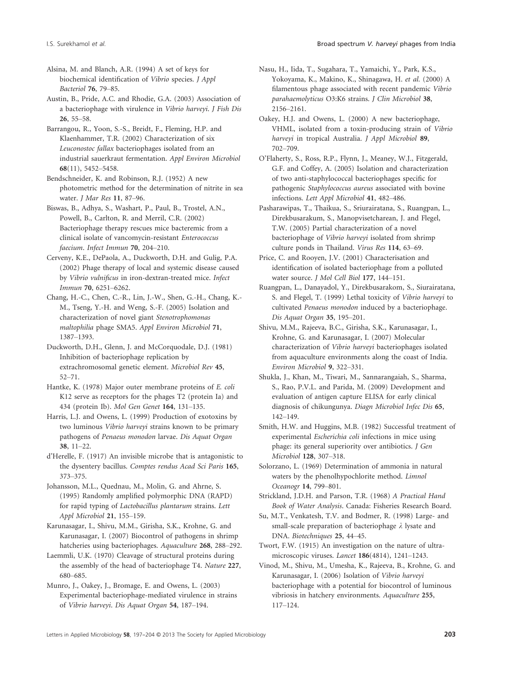Alsina, M. and Blanch, A.R. (1994) A set of keys for biochemical identification of Vibrio species. J Appl Bacteriol 76, 79–85.

Austin, B., Pride, A.C. and Rhodie, G.A. (2003) Association of a bacteriophage with virulence in Vibrio harveyi. J Fish Dis 26, 55–58.

Barrangou, R., Yoon, S.-S., Breidt, F., Fleming, H.P. and Klaenhammer, T.R. (2002) Characterization of six Leuconostoc fallax bacteriophages isolated from an industrial sauerkraut fermentation. Appl Environ Microbiol 68(11), 5452–5458.

Bendschneider, K. and Robinson, R.J. (1952) A new photometric method for the determination of nitrite in sea water. J Mar Res 11, 87–96.

Biswas, B., Adhya, S., Washart, P., Paul, B., Trostel, A.N., Powell, B., Carlton, R. and Merril, C.R. (2002) Bacteriophage therapy rescues mice bacteremic from a clinical isolate of vancomycin-resistant Enterococcus faecium. Infect Immun 70, 204–210.

- Cerveny, K.E., DePaola, A., Duckworth, D.H. and Gulig, P.A. (2002) Phage therapy of local and systemic disease caused by Vibrio vulnificus in iron-dextran-treated mice. Infect Immun 70, 6251–6262.
- Chang, H.-C., Chen, C.-R., Lin, J.-W., Shen, G.-H., Chang, K.- M., Tseng, Y.-H. and Weng, S.-F. (2005) Isolation and characterization of novel giant Stenotrophomonas maltophilia phage SMA5. Appl Environ Microbiol 71, 1387–1393.
- Duckworth, D.H., Glenn, J. and McCorquodale, D.J. (1981) Inhibition of bacteriophage replication by extrachromosomal genetic element. Microbiol Rev 45, 52–71.
- Hantke, K. (1978) Major outer membrane proteins of E. coli K12 serve as receptors for the phages T2 (protein Ia) and 434 (protein Ib). Mol Gen Genet 164, 131–135.
- Harris, L.J. and Owens, L. (1999) Production of exotoxins by two luminous Vibrio harveyi strains known to be primary pathogens of Penaeus monodon larvae. Dis Aquat Organ 38, 11–22.

d'Herelle, F. (1917) An invisible microbe that is antagonistic to the dysentery bacillus. Comptes rendus Acad Sci Paris 165, 373–375.

Johansson, M.L., Quednau, M., Molin, G. and Ahrne, S. (1995) Randomly amplified polymorphic DNA (RAPD) for rapid typing of Lactobacillus plantarum strains. Lett Appl Microbiol 21, 155–159.

Karunasagar, I., Shivu, M.M., Girisha, S.K., Krohne, G. and Karunasagar, I. (2007) Biocontrol of pathogens in shrimp hatcheries using bacteriophages. Aquaculture 268, 288–292.

Laemmli, U.K. (1970) Cleavage of structural proteins during the assembly of the head of bacteriophage T4. Nature 227, 680–685.

Munro, J., Oakey, J., Bromage, E. and Owens, L. (2003) Experimental bacteriophage-mediated virulence in strains of Vibrio harveyi. Dis Aquat Organ 54, 187–194.

- Nasu, H., Iida, T., Sugahara, T., Yamaichi, Y., Park, K.S., Yokoyama, K., Makino, K., Shinagawa, H. et al. (2000) A filamentous phage associated with recent pandemic Vibrio parahaemolyticus O3:K6 strains. J Clin Microbiol 38, 2156–2161.
- Oakey, H.J. and Owens, L. (2000) A new bacteriophage, VHML, isolated from a toxin-producing strain of Vibrio harveyi in tropical Australia. J Appl Microbiol 89, 702–709.

O'Flaherty, S., Ross, R.P., Flynn, J., Meaney, W.J., Fitzgerald, G.F. and Coffey, A. (2005) Isolation and characterization of two anti-staphylococcal bacteriophages specific for pathogenic Staphylococcus aureus associated with bovine infections. Lett Appl Microbiol 41, 482–486.

Pasharawipas, T., Thaikua, S., Sriurairatana, S., Ruangpan, L., Direkbusarakum, S., Manopvisetcharean, J. and Flegel, T.W. (2005) Partial characterization of a novel bacteriophage of Vibrio harveyi isolated from shrimp culture ponds in Thailand. Virus Res 114, 63–69.

Price, C. and Rooyen, J.V. (2001) Characterisation and identification of isolated bacteriophage from a polluted water source. J Mol Cell Biol 177, 144–151.

Ruangpan, L., Danayadol, Y., Direkbusarakom, S., Siurairatana, S. and Flegel, T. (1999) Lethal toxicity of Vibrio harveyi to cultivated Penaeus monodon induced by a bacteriophage. Dis Aquat Organ <sup>35</sup>, 195–201.

Shivu, M.M., Rajeeva, B.C., Girisha, S.K., Karunasagar, I., Krohne, G. and Karunasagar, I. (2007) Molecular characterization of Vibrio harveyi bacteriophages isolated from aquaculture environments along the coast of India. Environ Microbiol 9, 322–331.

Shukla, J., Khan, M., Tiwari, M., Sannarangaiah, S., Sharma, S., Rao, P.V.L. and Parida, M. (2009) Development and evaluation of antigen capture ELISA for early clinical diagnosis of chikungunya. Diagn Microbiol Infec Dis 65, 142–149.

Smith, H.W. and Huggins, M.B. (1982) Successful treatment of experimental Escherichia coli infections in mice using phage: its general superiority over antibiotics. J Gen Microbiol 128, 307–318.

Solorzano, L. (1969) Determination of ammonia in natural waters by the phenolhypochlorite method. Limnol Oceanogr 14, 799–801.

Strickland, J.D.H. and Parson, T.R. (1968) A Practical Hand Book of Water Analysis. Canada: Fisheries Research Board.

Su, M.T., Venkatesh, T.V. and Bodmer, R. (1998) Large- and small-scale preparation of bacteriophage  $\lambda$  lysate and DNA. Biotechniques 25, 44–45.

Twort, F.W. (1915) An investigation on the nature of ultramicroscopic viruses. Lancet 186(4814), 1241–1243.

Vinod, M., Shivu, M., Umesha, K., Rajeeva, B., Krohne, G. and Karunasagar, I. (2006) Isolation of Vibrio harveyi bacteriophage with a potential for biocontrol of luminous vibriosis in hatchery environments. Aquaculture 255, 117–124.